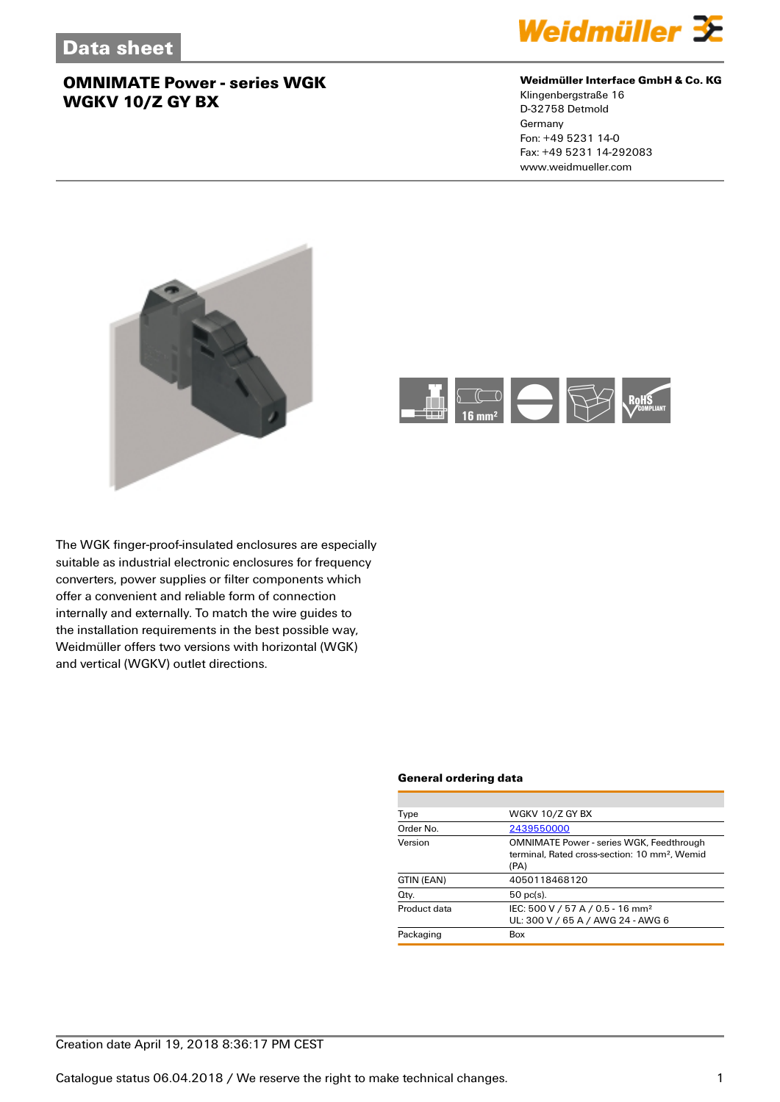

### **Weidmüller Interface GmbH & Co. KG**

Klingenbergstraße 16 D-32758 Detmold Germany Fon: +49 5231 14-0 Fax: +49 5231 14-292083 www.weidmueller.com





The WGK finger-proof-insulated enclosures are especially suitable as industrial electronic enclosures for frequency converters, power supplies or filter components which offer a convenient and reliable form of connection internally and externally. To match the wire guides to the installation requirements in the best possible way, Weidmüller offers two versions with horizontal (WGK) and vertical (WGKV) outlet directions.

#### **General ordering data**

| Type         | WGKV 10/Z GY BX                                                                                                      |
|--------------|----------------------------------------------------------------------------------------------------------------------|
| Order No.    | 2439550000                                                                                                           |
| Version      | <b>OMNIMATE Power - series WGK, Feedthrough</b><br>terminal. Rated cross-section: 10 mm <sup>2</sup> . Wemid<br>(PA) |
| GTIN (EAN)   | 4050118468120                                                                                                        |
| Qty.         | $50$ pc(s).                                                                                                          |
| Product data | IEC: 500 V / 57 A / 0.5 - 16 mm <sup>2</sup><br>UL: 300 V / 65 A / AWG 24 - AWG 6                                    |
| Packaging    | Box                                                                                                                  |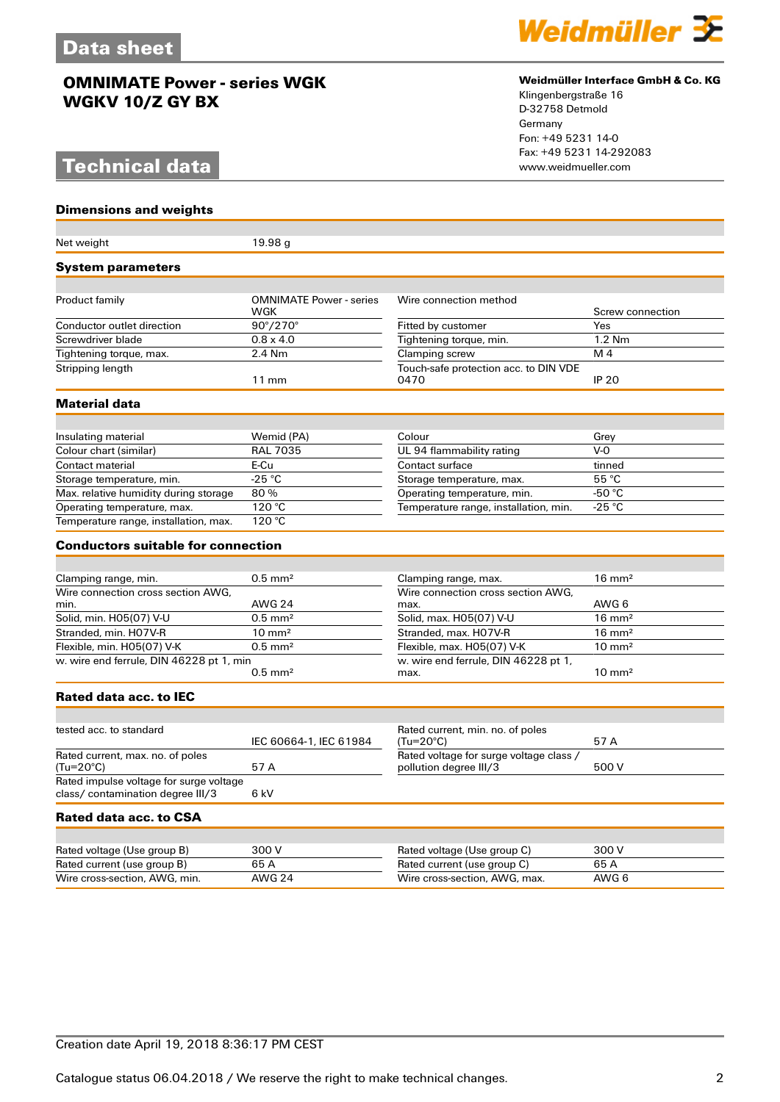# **Technical data**

**Dimensions and weights**



### **Weidmüller Interface GmbH & Co. KG**

Klingenbergstraße 16 D-32758 Detmold Germany Fon: +49 5231 14-0 Fax: +49 5231 14-292083

| Net weight                                                                   | 19.98 <sub>g</sub>             |                                                                   |                   |
|------------------------------------------------------------------------------|--------------------------------|-------------------------------------------------------------------|-------------------|
| <b>System parameters</b>                                                     |                                |                                                                   |                   |
|                                                                              | <b>OMNIMATE Power - series</b> | Wire connection method                                            |                   |
| Product family                                                               | WGK                            |                                                                   | Screw connection  |
| Conductor outlet direction                                                   | $90^{\circ}/270^{\circ}$       | Fitted by customer                                                | Yes               |
| Screwdriver blade                                                            | $0.8 \times 4.0$               | Tightening torque, min.                                           | $1.2$ Nm          |
| Tightening torque, max.                                                      | 2.4 Nm                         | Clamping screw                                                    | M 4               |
| Stripping length                                                             | $11 \text{ mm}$                | Touch-safe protection acc. to DIN VDE<br>0470                     | <b>IP 20</b>      |
| <b>Material data</b>                                                         |                                |                                                                   |                   |
|                                                                              |                                |                                                                   |                   |
| Insulating material                                                          | Wemid (PA)                     | Colour                                                            | Grey              |
| Colour chart (similar)                                                       | <b>RAL 7035</b>                | UL 94 flammability rating                                         | $V-0$             |
| Contact material                                                             | E-Cu                           | Contact surface                                                   | tinned            |
| Storage temperature, min.                                                    | $-25 °C$                       | Storage temperature, max.                                         | 55 °C             |
| Max. relative humidity during storage                                        | 80%                            | Operating temperature, min.                                       | -50 °C            |
| Operating temperature, max.                                                  | 120 °C                         | Temperature range, installation, min.                             | -25 °C            |
| Temperature range, installation, max.                                        | 120 °C                         |                                                                   |                   |
| <b>Conductors suitable for connection</b>                                    |                                |                                                                   |                   |
|                                                                              |                                |                                                                   |                   |
| Clamping range, min.                                                         | $0.5$ mm <sup>2</sup>          | Clamping range, max.                                              | $16 \text{ mm}^2$ |
| Wire connection cross section AWG.                                           |                                | Wire connection cross section AWG.                                |                   |
| min.                                                                         | <b>AWG 24</b>                  | max.                                                              | AWG 6             |
| Solid, min. H05(07) V-U                                                      | $0.5$ mm <sup>2</sup>          | Solid, max. H05(07) V-U                                           | $16 \text{ mm}^2$ |
| Stranded, min. H07V-R                                                        | $10 \text{ mm}^2$              | Stranded, max. H07V-R                                             | $16 \text{ mm}^2$ |
| Flexible, min. H05(07) V-K                                                   | $0.5$ mm <sup>2</sup>          | Flexible, max. H05(07) V-K                                        | $10 \text{ mm}^2$ |
| w. wire end ferrule, DIN 46228 pt 1, min                                     | $0.5$ mm <sup>2</sup>          | w. wire end ferrule, DIN 46228 pt 1,<br>max.                      | $10 \text{ mm}^2$ |
| Rated data acc. to IEC                                                       |                                |                                                                   |                   |
|                                                                              |                                |                                                                   |                   |
| tested acc. to standard                                                      | IEC 60664-1, IEC 61984         | Rated current, min. no. of poles<br>$(Tu=20^{\circ}C)$            | 57 A              |
| Rated current, max, no, of poles<br>$(Tu=20^{\circ}C)$                       | 57 A                           | Rated voltage for surge voltage class /<br>pollution degree III/3 | 500 V             |
| Rated impulse voltage for surge voltage<br>class/ contamination degree III/3 | 6 kV                           |                                                                   |                   |
| Rated data acc. to CSA                                                       |                                |                                                                   |                   |
|                                                                              |                                |                                                                   |                   |
| Rated voltage (Use group B)                                                  | 300 V                          | Rated voltage (Use group C)                                       | 300 V             |
| Rated current (use group B)                                                  | 65A                            | Rated current (use group C)                                       | 65A               |
| Wire cross-section, AWG, min.                                                | <b>AWG 24</b>                  | Wire cross-section, AWG, max.                                     | AWG 6             |
|                                                                              |                                |                                                                   |                   |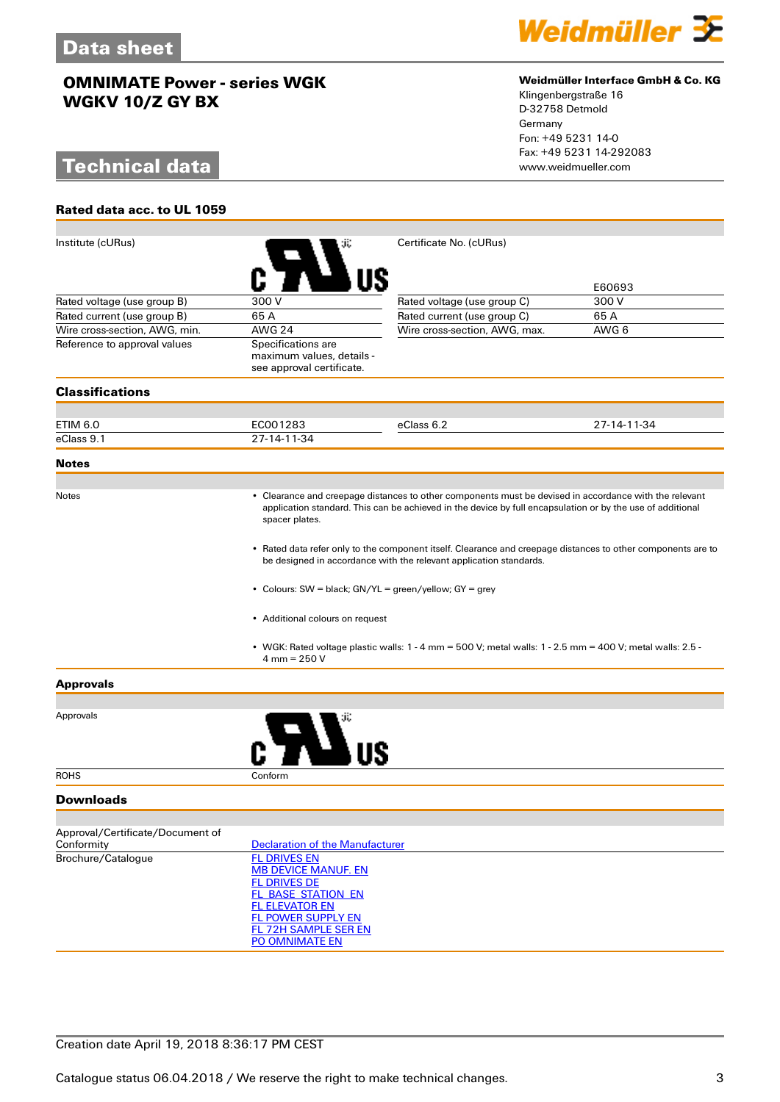# **Technical data**

**Rated data acc. to UL 1059**



#### **Weidmüller Interface GmbH & Co. KG**

Klingenbergstraße 16 D-32758 Detmold Germany Fon: +49 5231 14-0 Fax: +49 5231 14-292083

| Institute (cURus)                |                                                                                                                                                                                                                                              | Certificate No. (cURus)                                                                                       |             |  |  |
|----------------------------------|----------------------------------------------------------------------------------------------------------------------------------------------------------------------------------------------------------------------------------------------|---------------------------------------------------------------------------------------------------------------|-------------|--|--|
|                                  |                                                                                                                                                                                                                                              |                                                                                                               | E60693      |  |  |
| Rated voltage (use group B)      | 300 V                                                                                                                                                                                                                                        | Rated voltage (use group C)                                                                                   | 300V        |  |  |
| Rated current (use group B)      | 65A                                                                                                                                                                                                                                          | Rated current (use group C)                                                                                   | 65A         |  |  |
| Wire cross-section, AWG, min.    | <b>AWG 24</b>                                                                                                                                                                                                                                | Wire cross-section, AWG, max.                                                                                 | AWG 6       |  |  |
| Reference to approval values     | Specifications are<br>maximum values, details -<br>see approval certificate.                                                                                                                                                                 |                                                                                                               |             |  |  |
| <b>Classifications</b>           |                                                                                                                                                                                                                                              |                                                                                                               |             |  |  |
| ETIM 6.0                         | EC001283                                                                                                                                                                                                                                     | eClass 6.2                                                                                                    | 27-14-11-34 |  |  |
| eClass 9.1                       | 27-14-11-34                                                                                                                                                                                                                                  |                                                                                                               |             |  |  |
| <b>Notes</b>                     |                                                                                                                                                                                                                                              |                                                                                                               |             |  |  |
| <b>Notes</b>                     |                                                                                                                                                                                                                                              |                                                                                                               |             |  |  |
|                                  | • Clearance and creepage distances to other components must be devised in accordance with the relevant<br>application standard. This can be achieved in the device by full encapsulation or by the use of additional<br>spacer plates.       |                                                                                                               |             |  |  |
|                                  | • Rated data refer only to the component itself. Clearance and creepage distances to other components are to<br>be designed in accordance with the relevant application standards.<br>• Colours: SW = black; GN/YL = green/yellow; GY = grey |                                                                                                               |             |  |  |
|                                  |                                                                                                                                                                                                                                              |                                                                                                               |             |  |  |
|                                  | • Additional colours on request                                                                                                                                                                                                              |                                                                                                               |             |  |  |
|                                  | $4 \text{ mm} = 250 \text{ V}$                                                                                                                                                                                                               | • WGK: Rated voltage plastic walls: $1 - 4$ mm = 500 V; metal walls: $1 - 2.5$ mm = 400 V; metal walls: 2.5 - |             |  |  |
| <b>Approvals</b>                 |                                                                                                                                                                                                                                              |                                                                                                               |             |  |  |
|                                  |                                                                                                                                                                                                                                              |                                                                                                               |             |  |  |
| Approvals                        |                                                                                                                                                                                                                                              |                                                                                                               |             |  |  |
| <b>ROHS</b>                      | Conform                                                                                                                                                                                                                                      |                                                                                                               |             |  |  |
| <b>Downloads</b>                 |                                                                                                                                                                                                                                              |                                                                                                               |             |  |  |
| Approval/Certificate/Document of |                                                                                                                                                                                                                                              |                                                                                                               |             |  |  |
| Conformity                       | <b>Declaration of the Manufacturer</b>                                                                                                                                                                                                       |                                                                                                               |             |  |  |
| Brochure/Catalogue               | <b>FL DRIVES EN</b>                                                                                                                                                                                                                          |                                                                                                               |             |  |  |
|                                  | <b>MB DEVICE MANUF. EN</b><br><b>FL DRIVES DE</b>                                                                                                                                                                                            |                                                                                                               |             |  |  |
|                                  | FL BASE STATION EN                                                                                                                                                                                                                           |                                                                                                               |             |  |  |
|                                  | <b>FL ELEVATOR EN</b>                                                                                                                                                                                                                        |                                                                                                               |             |  |  |
|                                  | FL POWER SUPPLY EN                                                                                                                                                                                                                           |                                                                                                               |             |  |  |
|                                  | <b>FL 72H SAMPLE SER EN</b><br>PO OMNIMATE EN                                                                                                                                                                                                |                                                                                                               |             |  |  |
|                                  |                                                                                                                                                                                                                                              |                                                                                                               |             |  |  |

## Creation date April 19, 2018 8:36:17 PM CEST

Catalogue status 06.04.2018 / We reserve the right to make technical changes. 33